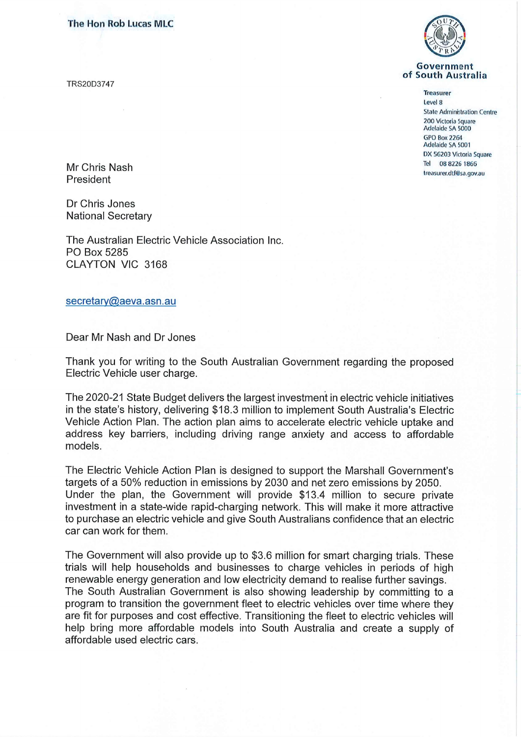The Hon Rob Lucas MLC

TRS20D3747



## Government of South Australia

## Treasurer Level 8

Stale Administration Centre 200 Victoria Square Adelaide SA 5000 GPO Box 2264 Adelaide SA 5001 DX 56203 Victoria Square

Mr Chris Nash Tel 08 8226 1866<br>The United States of Tel 08 8226 1866<br>The treasurer.dt (@sa.gov.au reasurer.dtr@sa.gov.au President in the surface of the surface of the surface of the surface of the surface of the surface of the surface of the surface of the surface of the surface of the surface of the surface of the su

Dr Chris Jones National Secretary

The Australian Electric Vehicle Association Inc. PO Box 5285 CLAYTON VIC 3168

secretary@aeva.asn.au

Dear Mr Nash and Dr Jones

Thank you for writing to the South Australian Government regarding the proposed Electric Vehicle user charge.

The 2020-21 State Budget delivers the largest investment in electric vehicle initiatives in the state's history, delivering \$18.3 million to implement South Australia's Electric Vehicle Action Plan. The action plan aims to accelerate electric vehicle uptake and address key barriers, including driving range anxiety and access to affordable models.

The Electric Vehicle Action Plan is designed to support the Marshall Government's targets of a 50% reduction in emissions by 2030 and net zero emissions by 2050. Under the plan, the Government will provide \$13.4 million to secure private investment in a state-wide rapid-charging network. This will make it more attractive to purchase an electric vehicle and give South Australians confidence that an electric car can work for them.

The Government will also provide up to \$3.6 million for smart charging trials. These trials will help households and businesses to charge vehicles in periods of high renewable energy generation and low electricity demand to realise further savings. The South Australian Government is also showing leadership by committing to a program to transition the government fleet to electric vehicles over time where they are fit for purposes and cost effective. Transitioning the fleet to electric vehicles will help bring more affordable models into South Australia and create a supply of affordable used electric cars.